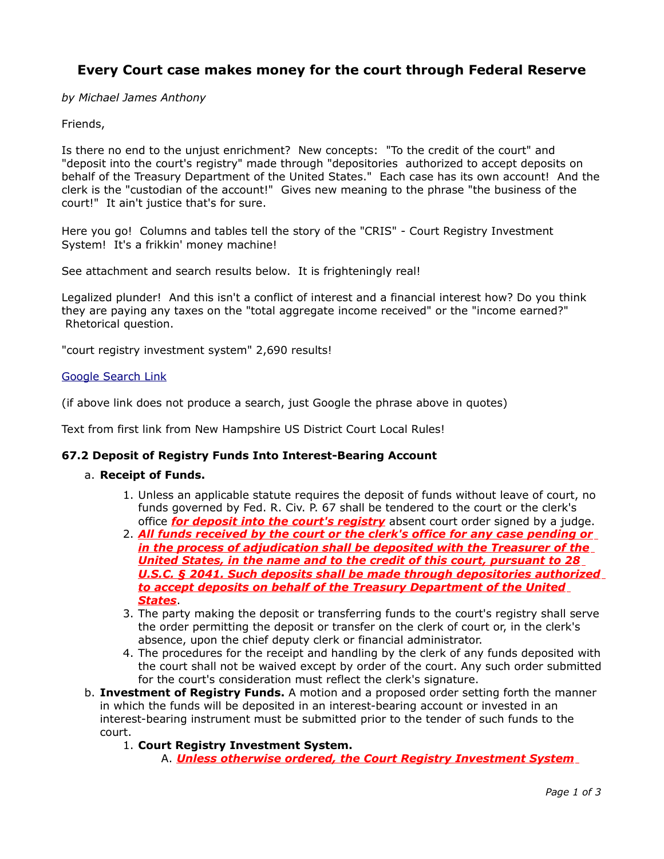# **Every Court case makes money for the court through Federal Reserve**

*by Michael James Anthony*

# Friends,

Is there no end to the unjust enrichment? New concepts: "To the credit of the court" and "deposit into the court's registry" made through "depositories authorized to accept deposits on behalf of the Treasury Department of the United States." Each case has its own account! And the clerk is the "custodian of the account!" Gives new meaning to the phrase "the business of the court!" It ain't justice that's for sure.

Here you go! Columns and tables tell the story of the "CRIS" - Court Registry Investment System! It's a frikkin' money machine!

See attachment and search results below. It is frighteningly real!

Legalized plunder! And this isn't a conflict of interest and a financial interest how? Do you think they are paying any taxes on the "total aggregate income received" or the "income earned?" Rhetorical question.

"court registry investment system" 2,690 results!

#### [Google Search Link](http://www.google.com/search?q=court+registry+investment+system&rls=com.microsoft:en-us:IE-SearchBox&ie=UTF-8&oe=UTF-8&sourceid=ie7&rlz=1I7RNWI_en#hl=en&expIds=17259,21007,25907,26637,26992,27095&sugexp=ldymls&xhr=t&q=%22court+registry+investment+system%22&cp=1&pf=p&sclient=psy&rls=com.microsoft:en-us:IE-SearchBox&rlz=1I7RNWI_en&aq=f&aqi=&aql=&oq=%22court+registry+investment+system%22&gs_rfai=&pbx=1&fp=1&cad=b)

(if above link does not produce a search, just Google the phrase above in quotes)

Text from first link from New Hampshire US District Court Local Rules!

## **67.2 Deposit of Registry Funds Into Interest-Bearing Account**

#### a. **Receipt of Funds.**

- 1. Unless an applicable statute requires the deposit of funds without leave of court, no funds governed by Fed. R. Civ. P. 67 shall be tendered to the court or the clerk's office *for deposit into the court's registry* absent court order signed by a judge.
- 2. *All funds received by the court or the clerk's office for any case pending or in the process of adjudication shall be deposited with the Treasurer of the United States, in the name and to the credit of this court, pursuant to 28 U.S.C. § 2041. Such deposits shall be made through depositories authorized to accept deposits on behalf of the Treasury Department of the United States*.
- 3. The party making the deposit or transferring funds to the court's registry shall serve the order permitting the deposit or transfer on the clerk of court or, in the clerk's absence, upon the chief deputy clerk or financial administrator.
- 4. The procedures for the receipt and handling by the clerk of any funds deposited with the court shall not be waived except by order of the court. Any such order submitted for the court's consideration must reflect the clerk's signature.
- b. **Investment of Registry Funds.** A motion and a proposed order setting forth the manner in which the funds will be deposited in an interest-bearing account or invested in an interest-bearing instrument must be submitted prior to the tender of such funds to the court.
	- 1. **Court Registry Investment System.** 
		- A. *Unless otherwise ordered, the Court Registry Investment System*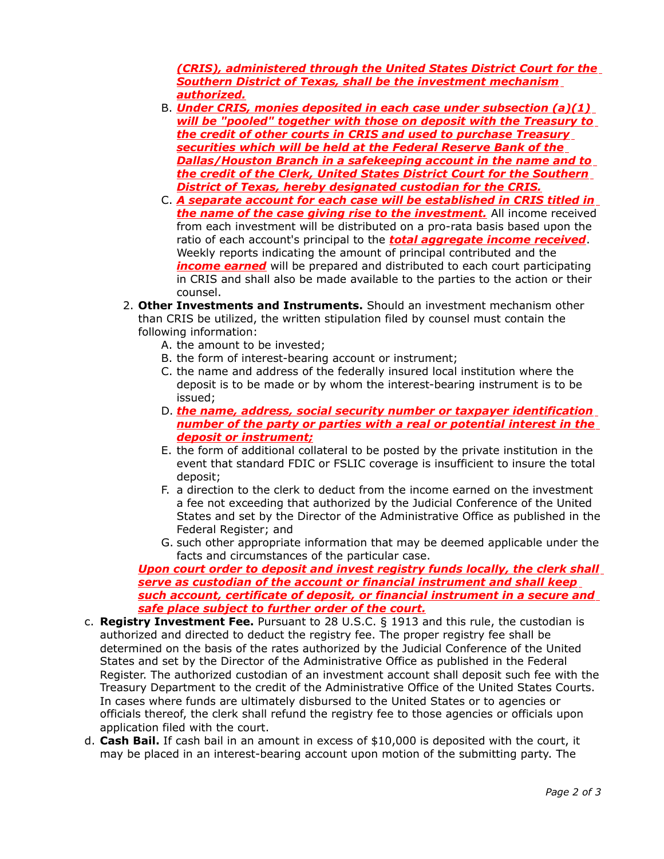*(CRIS), administered through the United States District Court for the Southern District of Texas, shall be the investment mechanism authorized.*

- B. *Under CRIS, monies deposited in each case under subsection (a)(1) will be "pooled" together with those on deposit with the Treasury to the credit of other courts in CRIS and used to purchase Treasury securities which will be held at the Federal Reserve Bank of the Dallas/Houston Branch in a safekeeping account in the name and to the credit of the Clerk, United States District Court for the Southern District of Texas, hereby designated custodian for the CRIS.*
- C. *A separate account for each case will be established in CRIS titled in the name of the case giving rise to the investment.* All income received from each investment will be distributed on a pro-rata basis based upon the ratio of each account's principal to the *total aggregate income received*. Weekly reports indicating the amount of principal contributed and the *income earned* will be prepared and distributed to each court participating in CRIS and shall also be made available to the parties to the action or their counsel.
- 2. **Other Investments and Instruments.** Should an investment mechanism other than CRIS be utilized, the written stipulation filed by counsel must contain the following information:
	- A. the amount to be invested;
	- B. the form of interest-bearing account or instrument;
	- C. the name and address of the federally insured local institution where the deposit is to be made or by whom the interest-bearing instrument is to be issued;
	- D. *the name, address, social security number or taxpayer identification number of the party or parties with a real or potential interest in the deposit or instrument;*
	- E. the form of additional collateral to be posted by the private institution in the event that standard FDIC or FSLIC coverage is insufficient to insure the total deposit;
	- F. a direction to the clerk to deduct from the income earned on the investment a fee not exceeding that authorized by the Judicial Conference of the United States and set by the Director of the Administrative Office as published in the Federal Register; and
	- G. such other appropriate information that may be deemed applicable under the facts and circumstances of the particular case.

#### *Upon court order to deposit and invest registry funds locally, the clerk shall serve as custodian of the account or financial instrument and shall keep such account, certificate of deposit, or financial instrument in a secure and safe place subject to further order of the court.*

- c. **Registry Investment Fee.** Pursuant to 28 U.S.C. § 1913 and this rule, the custodian is authorized and directed to deduct the registry fee. The proper registry fee shall be determined on the basis of the rates authorized by the Judicial Conference of the United States and set by the Director of the Administrative Office as published in the Federal Register. The authorized custodian of an investment account shall deposit such fee with the Treasury Department to the credit of the Administrative Office of the United States Courts. In cases where funds are ultimately disbursed to the United States or to agencies or officials thereof, the clerk shall refund the registry fee to those agencies or officials upon application filed with the court.
- d. **Cash Bail.** If cash bail in an amount in excess of \$10,000 is deposited with the court, it may be placed in an interest-bearing account upon motion of the submitting party. The